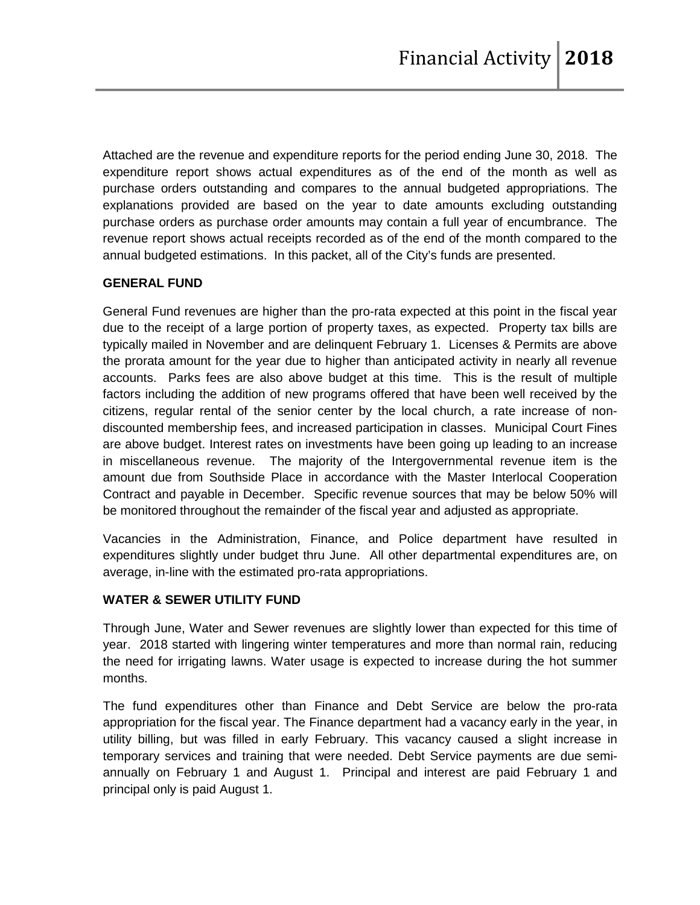Attached are the revenue and expenditure reports for the period ending June 30, 2018. The expenditure report shows actual expenditures as of the end of the month as well as purchase orders outstanding and compares to the annual budgeted appropriations. The explanations provided are based on the year to date amounts excluding outstanding purchase orders as purchase order amounts may contain a full year of encumbrance. The revenue report shows actual receipts recorded as of the end of the month compared to the annual budgeted estimations. In this packet, all of the City's funds are presented.

### **GENERAL FUND**

General Fund revenues are higher than the pro-rata expected at this point in the fiscal year due to the receipt of a large portion of property taxes, as expected. Property tax bills are typically mailed in November and are delinquent February 1. Licenses & Permits are above the prorata amount for the year due to higher than anticipated activity in nearly all revenue accounts. Parks fees are also above budget at this time. This is the result of multiple factors including the addition of new programs offered that have been well received by the citizens, regular rental of the senior center by the local church, a rate increase of nondiscounted membership fees, and increased participation in classes. Municipal Court Fines are above budget. Interest rates on investments have been going up leading to an increase in miscellaneous revenue. The majority of the Intergovernmental revenue item is the amount due from Southside Place in accordance with the Master Interlocal Cooperation Contract and payable in December. Specific revenue sources that may be below 50% will be monitored throughout the remainder of the fiscal year and adjusted as appropriate.

Vacancies in the Administration, Finance, and Police department have resulted in expenditures slightly under budget thru June. All other departmental expenditures are, on average, in-line with the estimated pro-rata appropriations.

### **WATER & SEWER UTILITY FUND**

Through June, Water and Sewer revenues are slightly lower than expected for this time of year. 2018 started with lingering winter temperatures and more than normal rain, reducing the need for irrigating lawns. Water usage is expected to increase during the hot summer months.

The fund expenditures other than Finance and Debt Service are below the pro-rata appropriation for the fiscal year. The Finance department had a vacancy early in the year, in utility billing, but was filled in early February. This vacancy caused a slight increase in temporary services and training that were needed. Debt Service payments are due semiannually on February 1 and August 1. Principal and interest are paid February 1 and principal only is paid August 1.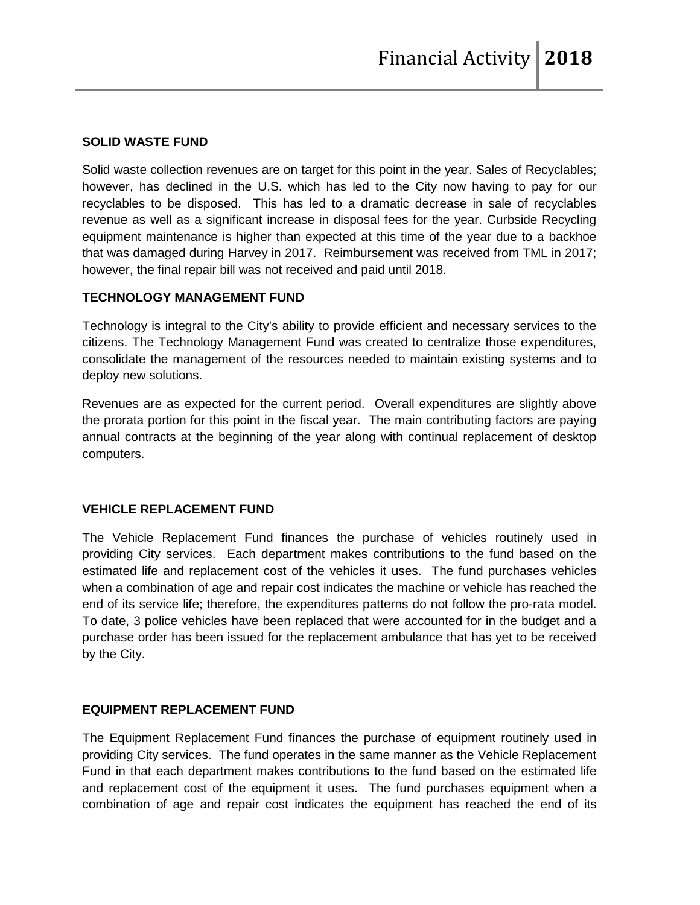#### **SOLID WASTE FUND**

Solid waste collection revenues are on target for this point in the year. Sales of Recyclables; however, has declined in the U.S. which has led to the City now having to pay for our recyclables to be disposed. This has led to a dramatic decrease in sale of recyclables revenue as well as a significant increase in disposal fees for the year. Curbside Recycling equipment maintenance is higher than expected at this time of the year due to a backhoe that was damaged during Harvey in 2017. Reimbursement was received from TML in 2017; however, the final repair bill was not received and paid until 2018.

## **TECHNOLOGY MANAGEMENT FUND**

Technology is integral to the City's ability to provide efficient and necessary services to the citizens. The Technology Management Fund was created to centralize those expenditures, consolidate the management of the resources needed to maintain existing systems and to deploy new solutions.

Revenues are as expected for the current period. Overall expenditures are slightly above the prorata portion for this point in the fiscal year. The main contributing factors are paying annual contracts at the beginning of the year along with continual replacement of desktop computers.

### **VEHICLE REPLACEMENT FUND**

The Vehicle Replacement Fund finances the purchase of vehicles routinely used in providing City services. Each department makes contributions to the fund based on the estimated life and replacement cost of the vehicles it uses. The fund purchases vehicles when a combination of age and repair cost indicates the machine or vehicle has reached the end of its service life; therefore, the expenditures patterns do not follow the pro-rata model. To date, 3 police vehicles have been replaced that were accounted for in the budget and a purchase order has been issued for the replacement ambulance that has yet to be received by the City.

### **EQUIPMENT REPLACEMENT FUND**

The Equipment Replacement Fund finances the purchase of equipment routinely used in providing City services. The fund operates in the same manner as the Vehicle Replacement Fund in that each department makes contributions to the fund based on the estimated life and replacement cost of the equipment it uses. The fund purchases equipment when a combination of age and repair cost indicates the equipment has reached the end of its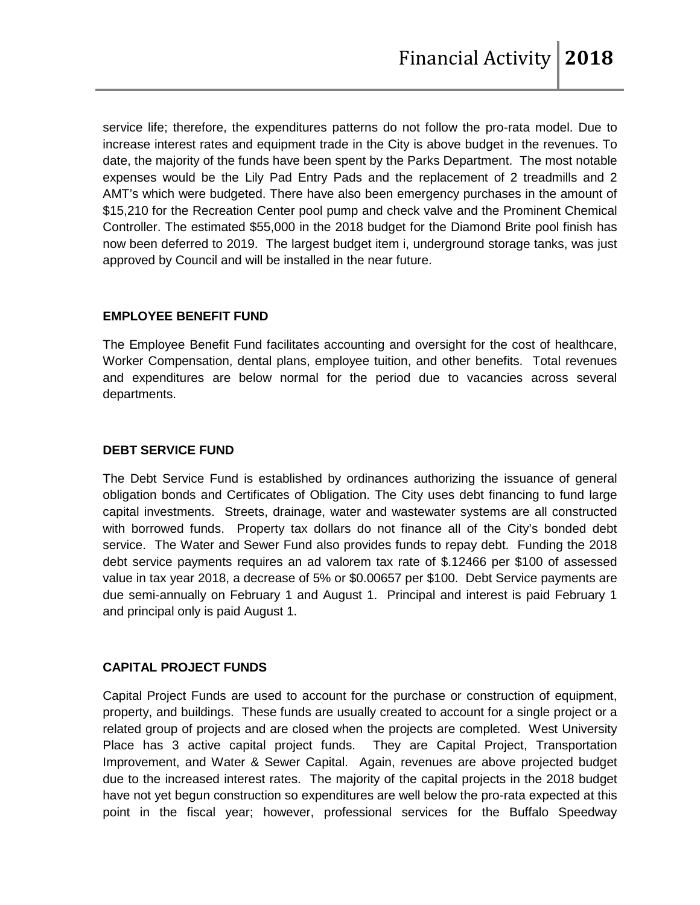service life; therefore, the expenditures patterns do not follow the pro-rata model. Due to increase interest rates and equipment trade in the City is above budget in the revenues. To date, the majority of the funds have been spent by the Parks Department. The most notable expenses would be the Lily Pad Entry Pads and the replacement of 2 treadmills and 2 AMT's which were budgeted. There have also been emergency purchases in the amount of \$15,210 for the Recreation Center pool pump and check valve and the Prominent Chemical Controller. The estimated \$55,000 in the 2018 budget for the Diamond Brite pool finish has now been deferred to 2019. The largest budget item i, underground storage tanks, was just approved by Council and will be installed in the near future.

### **EMPLOYEE BENEFIT FUND**

The Employee Benefit Fund facilitates accounting and oversight for the cost of healthcare, Worker Compensation, dental plans, employee tuition, and other benefits. Total revenues and expenditures are below normal for the period due to vacancies across several departments.

### **DEBT SERVICE FUND**

The Debt Service Fund is established by ordinances authorizing the issuance of general obligation bonds and Certificates of Obligation. The City uses debt financing to fund large capital investments. Streets, drainage, water and wastewater systems are all constructed with borrowed funds. Property tax dollars do not finance all of the City's bonded debt service. The Water and Sewer Fund also provides funds to repay debt. Funding the 2018 debt service payments requires an ad valorem tax rate of \$.12466 per \$100 of assessed value in tax year 2018, a decrease of 5% or \$0.00657 per \$100. Debt Service payments are due semi-annually on February 1 and August 1. Principal and interest is paid February 1 and principal only is paid August 1.

### **CAPITAL PROJECT FUNDS**

Capital Project Funds are used to account for the purchase or construction of equipment, property, and buildings. These funds are usually created to account for a single project or a related group of projects and are closed when the projects are completed. West University Place has 3 active capital project funds. They are Capital Project, Transportation Improvement, and Water & Sewer Capital. Again, revenues are above projected budget due to the increased interest rates. The majority of the capital projects in the 2018 budget have not yet begun construction so expenditures are well below the pro-rata expected at this point in the fiscal year; however, professional services for the Buffalo Speedway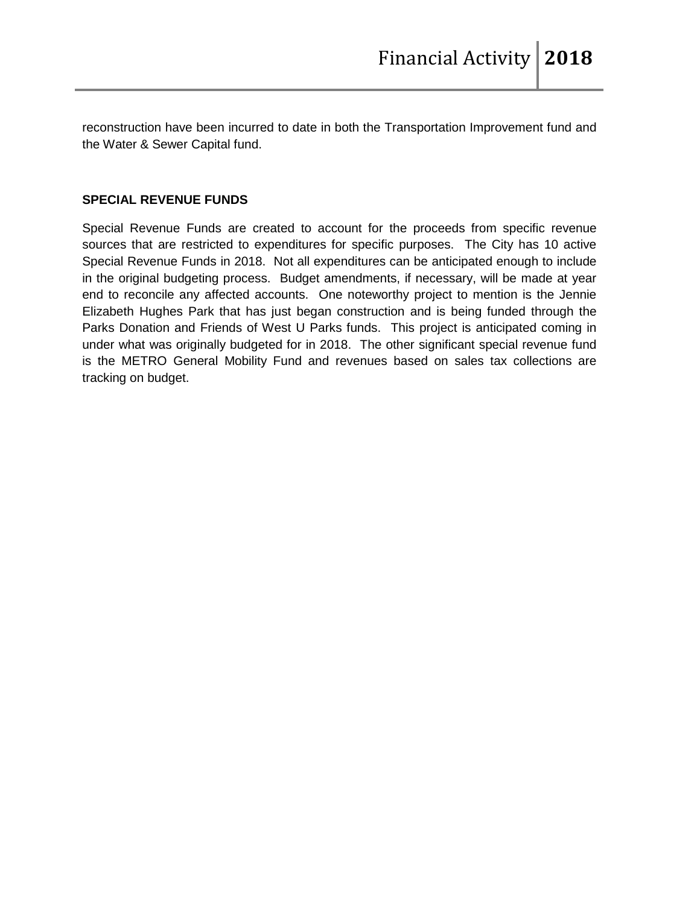reconstruction have been incurred to date in both the Transportation Improvement fund and the Water & Sewer Capital fund.

### **SPECIAL REVENUE FUNDS**

Special Revenue Funds are created to account for the proceeds from specific revenue sources that are restricted to expenditures for specific purposes. The City has 10 active Special Revenue Funds in 2018. Not all expenditures can be anticipated enough to include in the original budgeting process. Budget amendments, if necessary, will be made at year end to reconcile any affected accounts. One noteworthy project to mention is the Jennie Elizabeth Hughes Park that has just began construction and is being funded through the Parks Donation and Friends of West U Parks funds. This project is anticipated coming in under what was originally budgeted for in 2018. The other significant special revenue fund is the METRO General Mobility Fund and revenues based on sales tax collections are tracking on budget.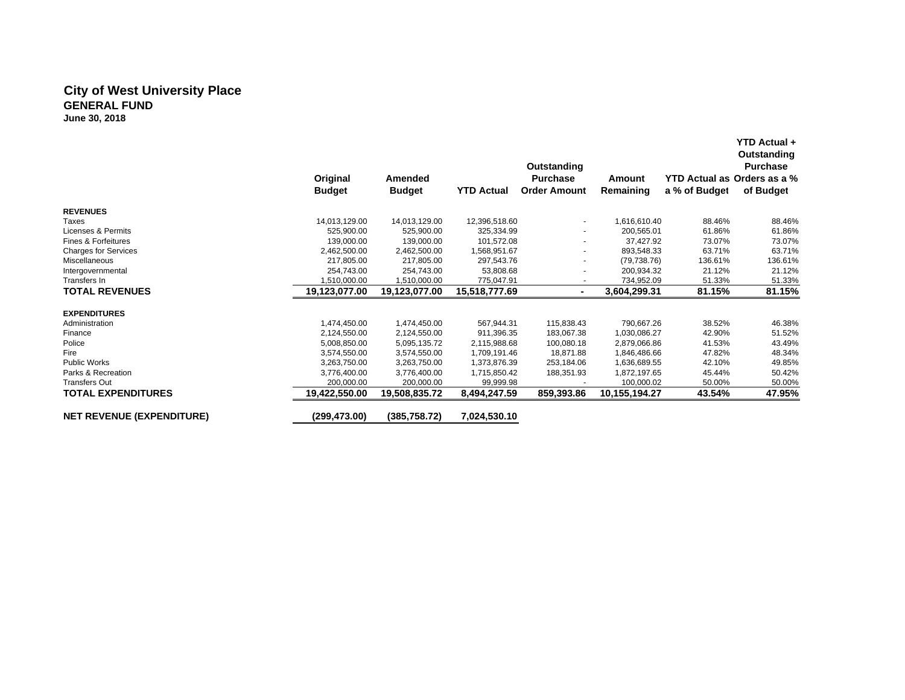#### **City of West University Place GENERAL FUND June 30, 2018**

|                                  | Original<br><b>Budget</b> | Amended<br><b>Budget</b> | <b>YTD Actual</b> | Outstanding<br><b>Purchase</b><br><b>Order Amount</b> | Amount<br>Remaining | YTD Actual as Orders as a %<br>a % of Budget | <b>YTD Actual +</b><br>Outstanding<br><b>Purchase</b><br>of Budget |
|----------------------------------|---------------------------|--------------------------|-------------------|-------------------------------------------------------|---------------------|----------------------------------------------|--------------------------------------------------------------------|
| <b>REVENUES</b>                  |                           |                          |                   |                                                       |                     |                                              |                                                                    |
| Taxes                            | 14,013,129.00             | 14,013,129.00            | 12,396,518.60     |                                                       | 1.616.610.40        | 88.46%                                       | 88.46%                                                             |
| Licenses & Permits               | 525,900.00                | 525,900.00               | 325,334.99        |                                                       | 200,565.01          | 61.86%                                       | 61.86%                                                             |
| <b>Fines &amp; Forfeitures</b>   | 139,000.00                | 139,000.00               | 101,572.08        |                                                       | 37,427.92           | 73.07%                                       | 73.07%                                                             |
| <b>Charges for Services</b>      | 2,462,500.00              | 2,462,500.00             | 1,568,951.67      |                                                       | 893,548.33          | 63.71%                                       | 63.71%                                                             |
| <b>Miscellaneous</b>             | 217,805.00                | 217,805.00               | 297,543.76        |                                                       | (79, 738.76)        | 136.61%                                      | 136.61%                                                            |
| Intergovernmental                | 254.743.00                | 254,743.00               | 53,808.68         |                                                       | 200,934.32          | 21.12%                                       | 21.12%                                                             |
| Transfers In                     | 1,510,000.00              | 1,510,000.00             | 775,047.91        |                                                       | 734,952.09          | 51.33%                                       | 51.33%                                                             |
| <b>TOTAL REVENUES</b>            | 19,123,077.00             | 19,123,077.00            | 15,518,777.69     | ٠                                                     | 3,604,299.31        | 81.15%                                       | 81.15%                                                             |
| <b>EXPENDITURES</b>              |                           |                          |                   |                                                       |                     |                                              |                                                                    |
| Administration                   | 1,474,450.00              | 1,474,450.00             | 567,944.31        | 115,838.43                                            | 790,667.26          | 38.52%                                       | 46.38%                                                             |
| Finance                          | 2,124,550.00              | 2,124,550.00             | 911.396.35        | 183,067.38                                            | 1,030,086.27        | 42.90%                                       | 51.52%                                                             |
| Police                           | 5,008,850.00              | 5,095,135.72             | 2,115,988.68      | 100,080.18                                            | 2,879,066.86        | 41.53%                                       | 43.49%                                                             |
| Fire                             | 3,574,550.00              | 3,574,550.00             | 1,709,191.46      | 18,871.88                                             | 1,846,486.66        | 47.82%                                       | 48.34%                                                             |
| <b>Public Works</b>              | 3,263,750.00              | 3,263,750.00             | 1,373,876.39      | 253,184.06                                            | 1,636,689.55        | 42.10%                                       | 49.85%                                                             |
| Parks & Recreation               | 3.776.400.00              | 3,776,400.00             | 1,715,850.42      | 188,351.93                                            | 1,872,197.65        | 45.44%                                       | 50.42%                                                             |
| <b>Transfers Out</b>             | 200,000.00                | 200,000.00               | 99,999.98         |                                                       | 100,000.02          | 50.00%                                       | 50.00%                                                             |
| <b>TOTAL EXPENDITURES</b>        | 19,422,550.00             | 19,508,835.72            | 8,494,247.59      | 859,393.86                                            | 10,155,194.27       | 43.54%                                       | 47.95%                                                             |
| <b>NET REVENUE (EXPENDITURE)</b> | (299,473.00)              | (385,758.72)             | 7,024,530.10      |                                                       |                     |                                              |                                                                    |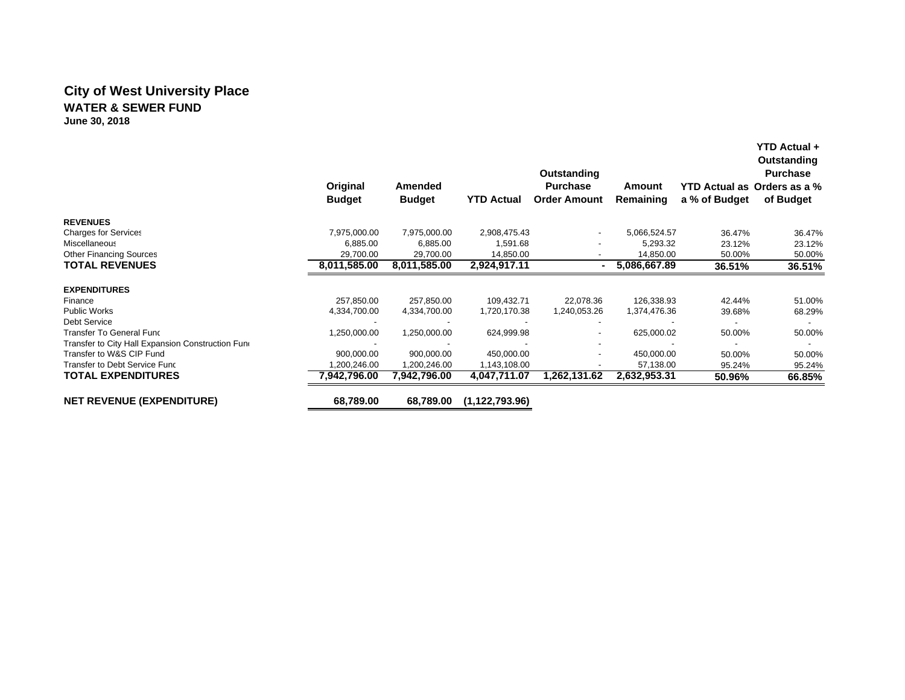# **City of West University Place WATER & SEWER FUND**

**June 30, 2018**

|                                                   | Original<br><b>Budget</b> | Amended<br><b>Budget</b> | <b>YTD Actual</b> | Outstanding<br><b>Purchase</b><br><b>Order Amount</b> | Amount<br>Remaining | a % of Budget | <b>YTD Actual +</b><br>Outstanding<br><b>Purchase</b><br>YTD Actual as Orders as a %<br>of Budget |
|---------------------------------------------------|---------------------------|--------------------------|-------------------|-------------------------------------------------------|---------------------|---------------|---------------------------------------------------------------------------------------------------|
| <b>REVENUES</b>                                   |                           |                          |                   |                                                       |                     |               |                                                                                                   |
| <b>Charges for Services</b>                       | 7,975,000.00              | 7,975,000.00             | 2,908,475.43      |                                                       | 5,066,524.57        | 36.47%        | 36.47%                                                                                            |
| Miscellaneous                                     | 6,885.00                  | 6,885.00                 | 1,591.68          |                                                       | 5,293.32            | 23.12%        | 23.12%                                                                                            |
| <b>Other Financing Sources</b>                    | 29,700.00                 | 29,700.00                | 14,850.00         |                                                       | 14,850.00           | 50.00%        | 50.00%                                                                                            |
| <b>TOTAL REVENUES</b>                             | 8,011,585.00              | 8,011,585.00             | 2,924,917.11      | ۰.                                                    | 5,086,667.89        | 36.51%        | 36.51%                                                                                            |
| <b>EXPENDITURES</b>                               |                           |                          |                   |                                                       |                     |               |                                                                                                   |
| Finance                                           | 257,850.00                | 257,850.00               | 109,432.71        | 22,078.36                                             | 126,338.93          | 42.44%        | 51.00%                                                                                            |
| <b>Public Works</b>                               | 4,334,700.00              | 4,334,700.00             | 1,720,170.38      | 1,240,053.26                                          | 1,374,476.36        | 39.68%        | 68.29%                                                                                            |
| Debt Service                                      |                           |                          |                   |                                                       |                     |               |                                                                                                   |
| Transfer To General Func                          | 1,250,000.00              | 1,250,000.00             | 624,999.98        |                                                       | 625,000.02          | 50.00%        | 50.00%                                                                                            |
| Transfer to City Hall Expansion Construction Fund |                           |                          |                   |                                                       |                     |               |                                                                                                   |
| Transfer to W&S CIP Fund                          | 900,000.00                | 900.000.00               | 450,000.00        |                                                       | 450,000.00          | 50.00%        | 50.00%                                                                                            |
| Transfer to Debt Service Func                     | 1,200,246.00              | 1,200,246.00             | 1,143,108.00      |                                                       | 57,138.00           | 95.24%        | 95.24%                                                                                            |
| <b>TOTAL EXPENDITURES</b>                         | 7,942,796.00              | 7,942,796.00             | 4,047,711.07      | 1,262,131.62                                          | 2,632,953.31        | 50.96%        | 66.85%                                                                                            |
| <b>NET REVENUE (EXPENDITURE)</b>                  | 68,789.00                 | 68,789.00                | (1, 122, 793.96)  |                                                       |                     |               |                                                                                                   |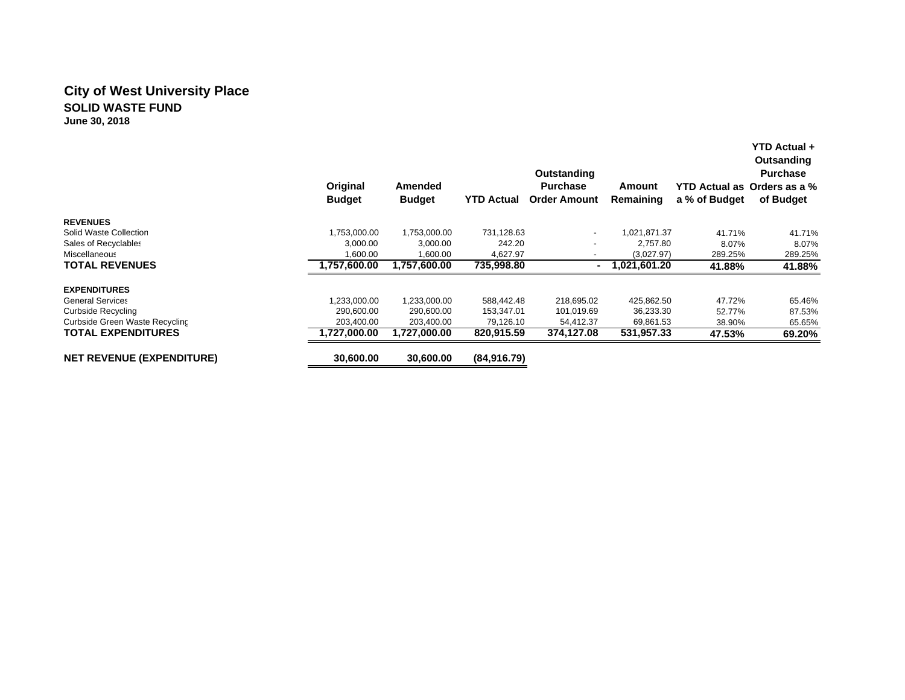### **City of West University Place SOLID WASTE FUNDJune 30, 2018**

|                                  | Original<br><b>Budget</b> | Amended<br><b>Budget</b> | <b>YTD Actual</b> | Outstanding<br><b>Purchase</b><br><b>Order Amount</b> | Amount<br>Remaining | a % of Budget | YTD Actual +<br>Outsanding<br><b>Purchase</b><br>YTD Actual as Orders as a %<br>of Budget |
|----------------------------------|---------------------------|--------------------------|-------------------|-------------------------------------------------------|---------------------|---------------|-------------------------------------------------------------------------------------------|
| <b>REVENUES</b>                  |                           |                          |                   |                                                       |                     |               |                                                                                           |
| Solid Waste Collection           | 1,753,000.00              | 1,753,000.00             | 731,128.63        | $\overline{\phantom{a}}$                              | 1.021.871.37        | 41.71%        | 41.71%                                                                                    |
| Sales of Recyclables             | 3.000.00                  | 3.000.00                 | 242.20            |                                                       | 2.757.80            | 8.07%         | 8.07%                                                                                     |
| Miscellaneous                    | 1,600.00                  | 1,600.00                 | 4,627.97          |                                                       | (3,027.97)          | 289.25%       | 289.25%                                                                                   |
| <b>TOTAL REVENUES</b>            | 1,757,600.00              | 1,757,600.00             | 735,998.80        |                                                       | 1,021,601.20        | 41.88%        | 41.88%                                                                                    |
| <b>EXPENDITURES</b>              |                           |                          |                   |                                                       |                     |               |                                                                                           |
| <b>General Services</b>          | ,233,000.00               | 1,233,000.00             | 588,442.48        | 218,695.02                                            | 425,862.50          | 47.72%        | 65.46%                                                                                    |
| Curbside Recycling               | 290,600.00                | 290,600.00               | 153,347.01        | 101,019.69                                            | 36,233.30           | 52.77%        | 87.53%                                                                                    |
| Curbside Green Waste Recycling   | 203,400.00                | 203,400.00               | 79,126.10         | 54,412.37                                             | 69,861.53           | 38.90%        | 65.65%                                                                                    |
| <b>TOTAL EXPENDITURES</b>        | 1,727,000.00              | 1,727,000.00             | 820,915.59        | 374,127.08                                            | 531,957.33          | 47.53%        | 69.20%                                                                                    |
| <b>NET REVENUE (EXPENDITURE)</b> | 30,600.00                 | 30,600.00                | (84,916.79)       |                                                       |                     |               |                                                                                           |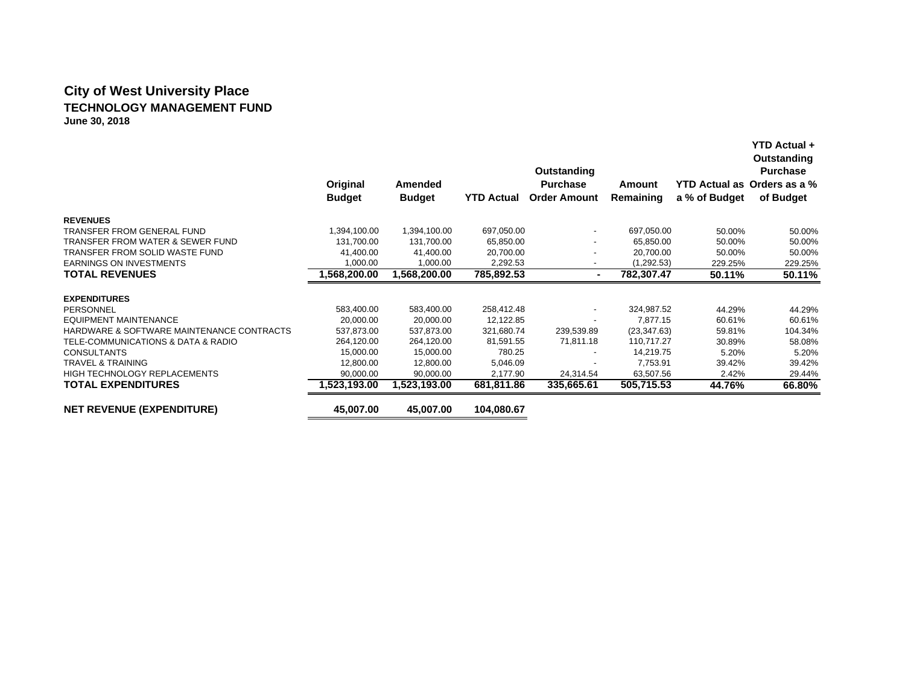# **City of West University Place TECHNOLOGY MANAGEMENT FUNDJune 30, 2018**

|                                           | Original      | Amended       |                   | Outstanding<br><b>Purchase</b> | Amount       |               | Outstanding<br><b>Purchase</b><br>YTD Actual as Orders as a % |
|-------------------------------------------|---------------|---------------|-------------------|--------------------------------|--------------|---------------|---------------------------------------------------------------|
|                                           | <b>Budget</b> | <b>Budget</b> | <b>YTD Actual</b> | <b>Order Amount</b>            | Remaining    | a % of Budget | of Budget                                                     |
| <b>REVENUES</b>                           |               |               |                   |                                |              |               |                                                               |
| <b>TRANSFER FROM GENERAL FUND</b>         | 1,394,100.00  | 1,394,100.00  | 697,050.00        | $\overline{\phantom{a}}$       | 697,050.00   | 50.00%        | 50.00%                                                        |
| TRANSFER FROM WATER & SEWER FUND          | 131,700.00    | 131,700.00    | 65,850.00         | $\overline{\phantom{a}}$       | 65,850.00    | 50.00%        | 50.00%                                                        |
| TRANSFER FROM SOLID WASTE FUND            | 41,400.00     | 41,400.00     | 20,700.00         |                                | 20,700.00    | 50.00%        | 50.00%                                                        |
| <b>EARNINGS ON INVESTMENTS</b>            | 1,000.00      | 1,000.00      | 2,292.53          | $\overline{\phantom{a}}$       | (1, 292.53)  | 229.25%       | 229.25%                                                       |
| <b>TOTAL REVENUES</b>                     | 1,568,200.00  | 1,568,200.00  | 785,892.53        | $\blacksquare$                 | 782,307.47   | 50.11%        | 50.11%                                                        |
| <b>EXPENDITURES</b>                       |               |               |                   |                                |              |               |                                                               |
| <b>PERSONNEL</b>                          | 583,400.00    | 583,400.00    | 258,412.48        | $\overline{\phantom{a}}$       | 324,987.52   | 44.29%        | 44.29%                                                        |
| <b>EQUIPMENT MAINTENANCE</b>              | 20,000.00     | 20,000.00     | 12,122.85         |                                | 7.877.15     | 60.61%        | 60.61%                                                        |
| HARDWARE & SOFTWARE MAINTENANCE CONTRACTS | 537,873.00    | 537,873.00    | 321,680.74        | 239,539.89                     | (23, 347.63) | 59.81%        | 104.34%                                                       |
| TELE-COMMUNICATIONS & DATA & RADIO        | 264,120.00    | 264,120.00    | 81,591.55         | 71,811.18                      | 110,717.27   | 30.89%        | 58.08%                                                        |
| <b>CONSULTANTS</b>                        | 15,000.00     | 15,000.00     | 780.25            |                                | 14,219.75    | 5.20%         | 5.20%                                                         |
| <b>TRAVEL &amp; TRAINING</b>              | 12,800.00     | 12,800.00     | 5,046.09          |                                | 7,753.91     | 39.42%        | 39.42%                                                        |
| <b>HIGH TECHNOLOGY REPLACEMENTS</b>       | 90,000.00     | 90,000.00     | 2,177.90          | 24,314.54                      | 63,507.56    | 2.42%         | 29.44%                                                        |
| <b>TOTAL EXPENDITURES</b>                 | 1,523,193.00  | 1,523,193.00  | 681,811.86        | 335,665.61                     | 505,715.53   | 44.76%        | 66.80%                                                        |
| <b>NET REVENUE (EXPENDITURE)</b>          | 45,007.00     | 45,007.00     | 104,080.67        |                                |              |               |                                                               |

**YTD Actual +**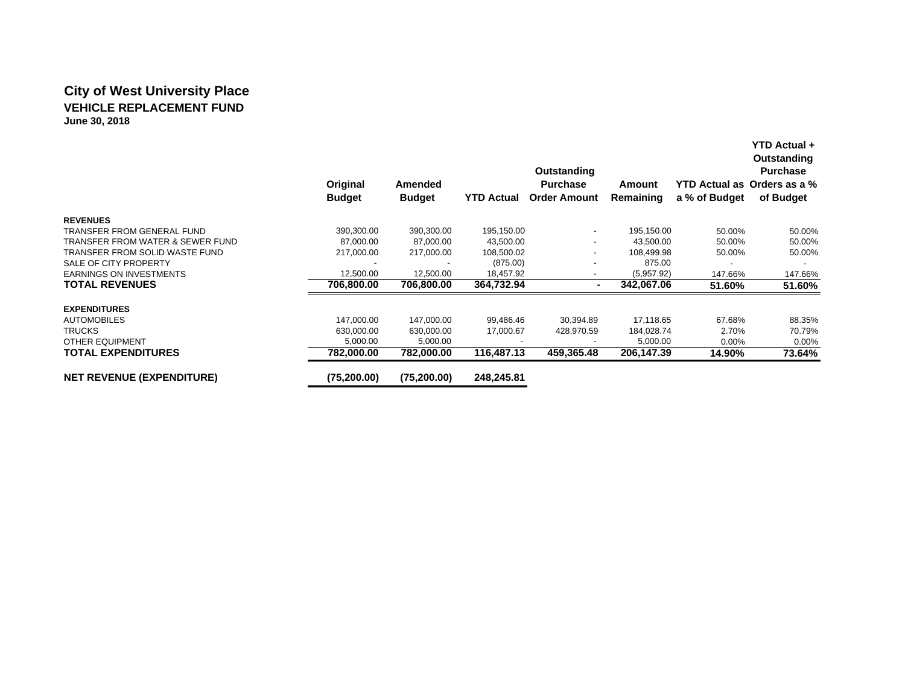### **City of West University Place VEHICLE REPLACEMENT FUNDJune 30, 2018**

|                                  |               |                |                   | Outstanding              |            |               | Outstanding<br><b>Purchase</b> |
|----------------------------------|---------------|----------------|-------------------|--------------------------|------------|---------------|--------------------------------|
|                                  | Original      | <b>Amended</b> |                   | <b>Purchase</b>          | Amount     |               | YTD Actual as Orders as a %    |
|                                  | <b>Budget</b> | <b>Budget</b>  | <b>YTD Actual</b> | <b>Order Amount</b>      | Remaining  | a % of Budget | of Budget                      |
| <b>REVENUES</b>                  |               |                |                   |                          |            |               |                                |
| TRANSFER FROM GENERAL FUND       | 390,300.00    | 390,300.00     | 195,150.00        | $\blacksquare$           | 195,150.00 | 50.00%        | 50.00%                         |
| TRANSFER FROM WATER & SEWER FUND | 87,000.00     | 87,000.00      | 43,500.00         | $\overline{\phantom{a}}$ | 43,500.00  | 50.00%        | 50.00%                         |
| TRANSFER FROM SOLID WASTE FUND   | 217,000.00    | 217,000.00     | 108,500.02        | $\overline{\phantom{a}}$ | 108,499.98 | 50.00%        | 50.00%                         |
| SALE OF CITY PROPERTY            |               |                | (875.00)          |                          | 875.00     |               |                                |
| <b>EARNINGS ON INVESTMENTS</b>   | 12,500.00     | 12,500.00      | 18,457.92         | $\overline{\phantom{a}}$ | (5,957.92) | 147.66%       | 147.66%                        |
| <b>TOTAL REVENUES</b>            | 706.800.00    | 706.800.00     | 364.732.94        |                          | 342.067.06 | 51.60%        | 51.60%                         |
| <b>EXPENDITURES</b>              |               |                |                   |                          |            |               |                                |
| <b>AUTOMOBILES</b>               | 147,000.00    | 147,000.00     | 99,486.46         | 30,394.89                | 17,118.65  | 67.68%        | 88.35%                         |
| <b>TRUCKS</b>                    | 630,000.00    | 630,000.00     | 17,000.67         | 428,970.59               | 184,028.74 | 2.70%         | 70.79%                         |
| <b>OTHER EQUIPMENT</b>           | 5,000.00      | 5,000.00       |                   |                          | 5,000.00   | $0.00\%$      | 0.00%                          |
| <b>TOTAL EXPENDITURES</b>        | 782,000.00    | 782,000.00     | 116.487.13        | 459,365.48               | 206,147.39 | 14.90%        | 73.64%                         |
| <b>NET REVENUE (EXPENDITURE)</b> | (75, 200.00)  | (75, 200.00)   | 248.245.81        |                          |            |               |                                |

**YTD Actual +**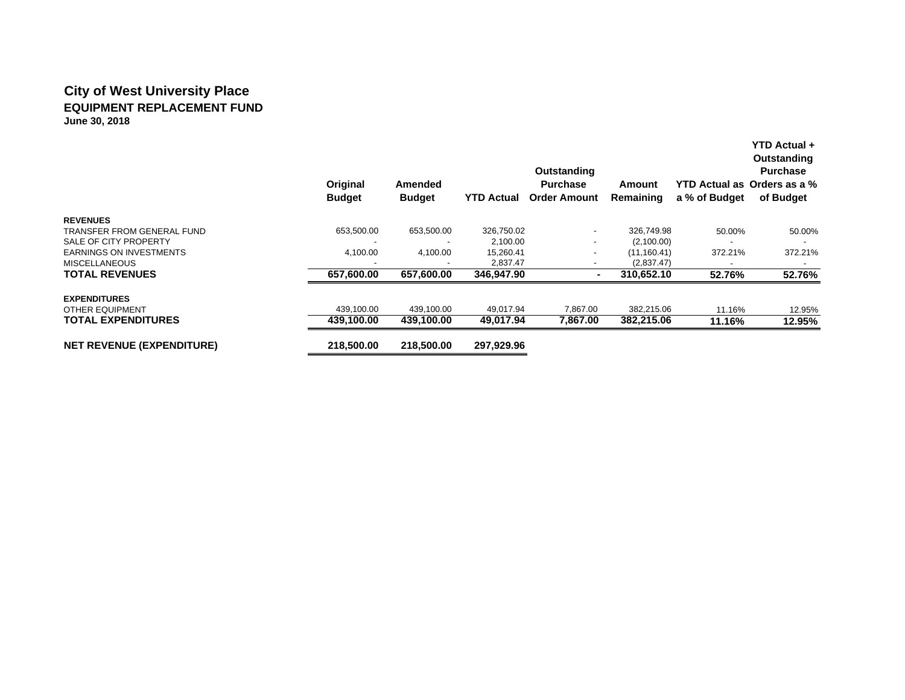### **City of West University Place EQUIPMENT REPLACEMENT FUNDJune 30, 2018**

|                                  | Original<br><b>Budget</b> | <b>Amended</b><br><b>Budget</b> | <b>YTD Actual</b> | Outstanding<br><b>Purchase</b><br><b>Order Amount</b> | Amount<br>Remaining | a % of Budget | <b>YTD Actual +</b><br>Outstanding<br><b>Purchase</b><br>YTD Actual as Orders as a %<br>of Budget |
|----------------------------------|---------------------------|---------------------------------|-------------------|-------------------------------------------------------|---------------------|---------------|---------------------------------------------------------------------------------------------------|
| <b>REVENUES</b>                  |                           |                                 |                   |                                                       |                     |               |                                                                                                   |
| TRANSFER FROM GENERAL FUND       | 653,500.00                | 653,500.00                      | 326,750.02        |                                                       | 326,749.98          | 50.00%        | 50.00%                                                                                            |
| SALE OF CITY PROPERTY            |                           |                                 | 2,100.00          |                                                       | (2,100.00)          |               |                                                                                                   |
| <b>EARNINGS ON INVESTMENTS</b>   | 4,100.00                  | 4,100.00                        | 15,260.41         |                                                       | (11, 160.41)        | 372.21%       | 372.21%                                                                                           |
| <b>MISCELLANEOUS</b>             |                           |                                 | 2,837.47          |                                                       | (2,837.47)          |               |                                                                                                   |
| <b>TOTAL REVENUES</b>            | 657,600.00                | 657,600.00                      | 346,947.90        |                                                       | 310,652.10          | 52.76%        | 52.76%                                                                                            |
| <b>EXPENDITURES</b>              |                           |                                 |                   |                                                       |                     |               |                                                                                                   |
| <b>OTHER EQUIPMENT</b>           | 439,100.00                | 439,100.00                      | 49,017.94         | 7,867.00                                              | 382,215.06          | 11.16%        | 12.95%                                                                                            |
| <b>TOTAL EXPENDITURES</b>        | 439,100.00                | 439,100.00                      | 49,017.94         | 7,867.00                                              | 382,215.06          | 11.16%        | 12.95%                                                                                            |
| <b>NET REVENUE (EXPENDITURE)</b> | 218,500.00                | 218.500.00                      | 297,929.96        |                                                       |                     |               |                                                                                                   |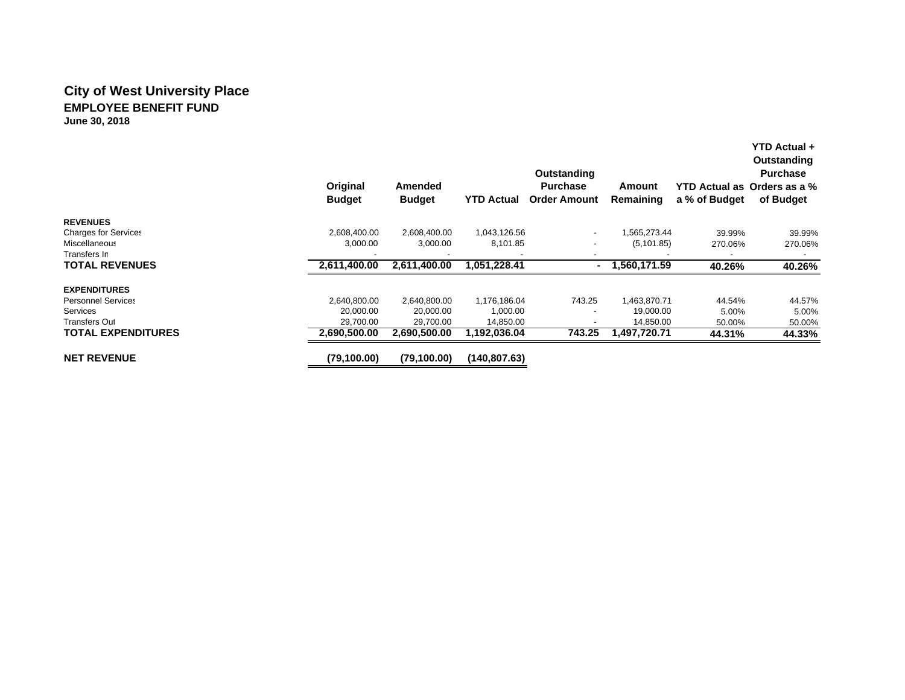# **City of West University Place EMPLOYEE BENEFIT FUND**

**June 30, 2018**

|                             | Original<br><b>Budget</b> | Amended<br><b>Budget</b> | <b>YTD Actual</b> | Outstanding<br><b>Purchase</b><br><b>Order Amount</b> | Amount<br>Remaining | a % of Budget            | YTD Actual +<br>Outstanding<br><b>Purchase</b><br>YTD Actual as Orders as a %<br>of Budget |
|-----------------------------|---------------------------|--------------------------|-------------------|-------------------------------------------------------|---------------------|--------------------------|--------------------------------------------------------------------------------------------|
| <b>REVENUES</b>             |                           |                          |                   |                                                       |                     |                          |                                                                                            |
| <b>Charges for Services</b> | 2,608,400.00              | 2,608,400.00             | 1,043,126.56      | $\overline{\phantom{a}}$                              | 1,565,273.44        | 39.99%                   | 39.99%                                                                                     |
| Miscellaneous               | 3,000.00                  | 3,000.00                 | 8,101.85          | $\overline{\phantom{a}}$                              | (5, 101.85)         | 270.06%                  | 270.06%                                                                                    |
| Transfers In                |                           |                          |                   |                                                       |                     | $\overline{\phantom{a}}$ | $\overline{\phantom{0}}$                                                                   |
| <b>TOTAL REVENUES</b>       | 2,611,400.00              | 2,611,400.00             | 1,051,228.41      | $\sim$                                                | 1,560,171.59        | 40.26%                   | 40.26%                                                                                     |
| <b>EXPENDITURES</b>         |                           |                          |                   |                                                       |                     |                          |                                                                                            |
| <b>Personnel Services</b>   | 2,640,800.00              | 2,640,800.00             | 1,176,186.04      | 743.25                                                | 1,463,870.71        | 44.54%                   | 44.57%                                                                                     |
| <b>Services</b>             | 20,000.00                 | 20.000.00                | 1,000.00          |                                                       | 19,000.00           | 5.00%                    | 5.00%                                                                                      |
| <b>Transfers Out</b>        | 29,700.00                 | 29,700.00                | 14,850.00         | ٠                                                     | 14,850.00           | 50.00%                   | 50.00%                                                                                     |
| <b>TOTAL EXPENDITURES</b>   | 2.690.500.00              | 2,690,500.00             | 1,192,036.04      | 743.25                                                | 1,497,720.71        | 44.31%                   | 44.33%                                                                                     |
| <b>NET REVENUE</b>          | (79, 100.00)              | (79, 100.00)             | (140.807.63)      |                                                       |                     |                          |                                                                                            |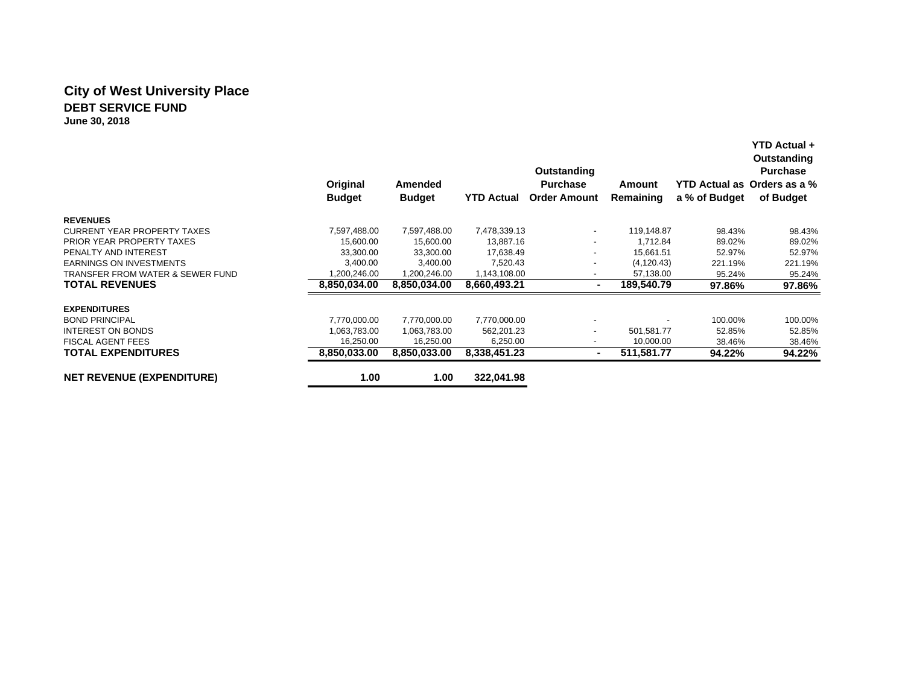### **City of West University Place DEBT SERVICE FUNDJune 30, 2018**

|                                    | Original<br><b>Budget</b> | Amended<br><b>Budget</b> | <b>YTD Actual</b> | Outstanding<br><b>Purchase</b><br><b>Order Amount</b> | Amount<br>Remaining | a % of Budget | YTD Actual +<br>Outstanding<br><b>Purchase</b><br>YTD Actual as Orders as a %<br>of Budget |
|------------------------------------|---------------------------|--------------------------|-------------------|-------------------------------------------------------|---------------------|---------------|--------------------------------------------------------------------------------------------|
| <b>REVENUES</b>                    |                           |                          |                   |                                                       |                     |               |                                                                                            |
| <b>CURRENT YEAR PROPERTY TAXES</b> | 7,597,488.00              | 7,597,488.00             | 7,478,339.13      | $\overline{\phantom{a}}$                              | 119,148.87          | 98.43%        | 98.43%                                                                                     |
| PRIOR YEAR PROPERTY TAXES          | 15,600.00                 | 15,600.00                | 13,887.16         | $\overline{\phantom{a}}$                              | 1,712.84            | 89.02%        | 89.02%                                                                                     |
| PENALTY AND INTEREST               | 33,300.00                 | 33,300.00                | 17,638.49         |                                                       | 15.661.51           | 52.97%        | 52.97%                                                                                     |
| <b>EARNINGS ON INVESTMENTS</b>     | 3,400.00                  | 3,400.00                 | 7,520.43          | $\overline{\phantom{a}}$                              | (4, 120.43)         | 221.19%       | 221.19%                                                                                    |
| TRANSFER FROM WATER & SEWER FUND   | 1,200,246.00              | 1,200,246.00             | 1,143,108.00      | $\overline{\phantom{a}}$                              | 57,138.00           | 95.24%        | 95.24%                                                                                     |
| <b>TOTAL REVENUES</b>              | 8,850,034.00              | 8,850,034.00             | 8,660,493.21      |                                                       | 189,540.79          | 97.86%        | 97.86%                                                                                     |
| <b>EXPENDITURES</b>                |                           |                          |                   |                                                       |                     |               |                                                                                            |
| <b>BOND PRINCIPAL</b>              | 7,770,000.00              | 7,770,000.00             | 7,770,000.00      |                                                       |                     | 100.00%       | 100.00%                                                                                    |
| <b>INTEREST ON BONDS</b>           | 1.063.783.00              | 1,063,783.00             | 562,201.23        | $\overline{\phantom{a}}$                              | 501,581.77          | 52.85%        | 52.85%                                                                                     |
| <b>FISCAL AGENT FEES</b>           | 16,250.00                 | 16,250.00                | 6,250.00          | $\overline{\phantom{a}}$                              | 10,000.00           | 38.46%        | 38.46%                                                                                     |
| <b>TOTAL EXPENDITURES</b>          | 8.850.033.00              | 8.850.033.00             | 8,338,451.23      | н.                                                    | 511,581.77          | 94.22%        | 94.22%                                                                                     |
| <b>NET REVENUE (EXPENDITURE)</b>   | 1.00                      | 1.00                     | 322,041.98        |                                                       |                     |               |                                                                                            |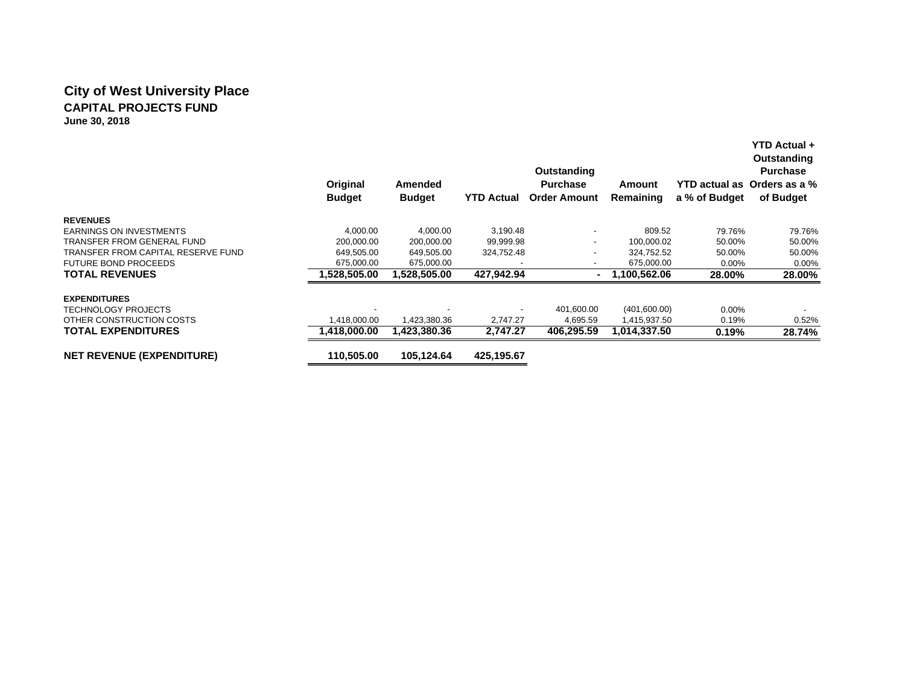### **City of West University Place CAPITAL PROJECTS FUNDJune 30, 2018**

|                                    | Original<br><b>Budget</b> | Amended<br><b>Budget</b> | <b>YTD Actual</b> | Outstanding<br><b>Purchase</b><br><b>Order Amount</b> | Amount<br>Remaining | a % of Budget | <b>YTD Actual +</b><br>Outstanding<br><b>Purchase</b><br>YTD actual as Orders as a %<br>of Budget |
|------------------------------------|---------------------------|--------------------------|-------------------|-------------------------------------------------------|---------------------|---------------|---------------------------------------------------------------------------------------------------|
| <b>REVENUES</b>                    |                           |                          |                   |                                                       |                     |               |                                                                                                   |
| <b>EARNINGS ON INVESTMENTS</b>     | 4,000.00                  | 4.000.00                 | 3,190.48          |                                                       | 809.52              | 79.76%        | 79.76%                                                                                            |
| TRANSFER FROM GENERAL FUND         | 200,000.00                | 200,000.00               | 99,999.98         | $\overline{\phantom{a}}$                              | 100,000.02          | 50.00%        | 50.00%                                                                                            |
| TRANSFER FROM CAPITAL RESERVE FUND | 649,505.00                | 649,505.00               | 324,752.48        |                                                       | 324,752.52          | 50.00%        | 50.00%                                                                                            |
| <b>FUTURE BOND PROCEEDS</b>        | 675,000.00                | 675,000.00               |                   | $\overline{\phantom{a}}$                              | 675,000.00          | $0.00\%$      | $0.00\%$                                                                                          |
| <b>TOTAL REVENUES</b>              | 1,528,505.00              | 1.528.505.00             | 427,942.94        |                                                       | 1,100,562.06        | 28.00%        | 28.00%                                                                                            |
| <b>EXPENDITURES</b>                |                           |                          |                   |                                                       |                     |               |                                                                                                   |
| <b>TECHNOLOGY PROJECTS</b>         |                           |                          |                   | 401,600.00                                            | (401,600.00)        | $0.00\%$      |                                                                                                   |
| OTHER CONSTRUCTION COSTS           | ,418,000.00               | 1,423,380.36             | 2,747.27          | 4,695.59                                              | 1,415,937.50        | 0.19%         | 0.52%                                                                                             |
| <b>TOTAL EXPENDITURES</b>          | 1,418,000.00              | 1,423,380.36             | 2,747.27          | 406,295.59                                            | 1,014,337.50        | 0.19%         | 28.74%                                                                                            |
| <b>NET REVENUE (EXPENDITURE)</b>   | 110,505.00                | 105,124.64               | 425,195.67        |                                                       |                     |               |                                                                                                   |
|                                    |                           |                          |                   |                                                       |                     |               |                                                                                                   |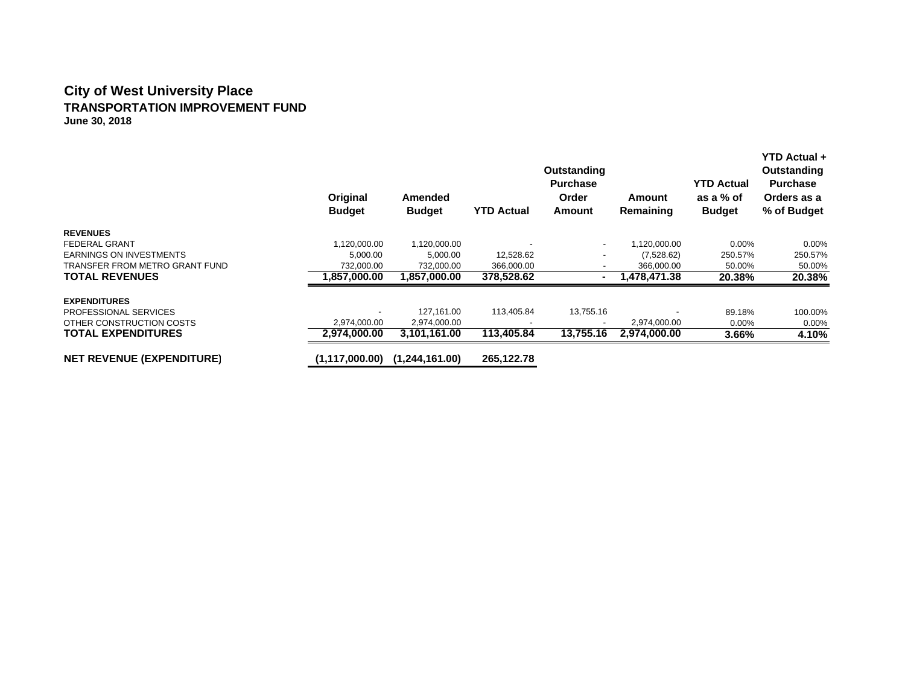#### **City of West University Place TRANSPORTATION IMPROVEMENT FUND June 30, 2018**

|                                  | Original<br><b>Budget</b> | Amended<br><b>Budget</b> | <b>YTD Actual</b> | Outstanding<br><b>Purchase</b><br>Order<br>Amount | Amount<br>Remaining | <b>YTD Actual</b><br>as a % of<br><b>Budget</b> | <b>YTD Actual +</b><br>Outstanding<br><b>Purchase</b><br>Orders as a<br>% of Budget |
|----------------------------------|---------------------------|--------------------------|-------------------|---------------------------------------------------|---------------------|-------------------------------------------------|-------------------------------------------------------------------------------------|
| <b>REVENUES</b>                  |                           |                          |                   |                                                   |                     |                                                 |                                                                                     |
| FEDERAL GRANT                    | 1,120,000.00              | 1,120,000.00             |                   | $\overline{\phantom{0}}$                          | 1,120,000.00        | $0.00\%$                                        | $0.00\%$                                                                            |
| <b>EARNINGS ON INVESTMENTS</b>   | 5,000.00                  | 5,000.00                 | 12,528.62         |                                                   | (7,528.62)          | 250.57%                                         | 250.57%                                                                             |
| TRANSFER FROM METRO GRANT FUND   | 732,000.00                | 732,000.00               | 366,000.00        |                                                   | 366,000.00          | 50.00%                                          | 50.00%                                                                              |
| <b>TOTAL REVENUES</b>            | 1,857,000.00              | 1,857,000.00             | 378,528.62        | ۰                                                 | 1,478,471.38        | 20.38%                                          | 20.38%                                                                              |
| <b>EXPENDITURES</b>              |                           |                          |                   |                                                   |                     |                                                 |                                                                                     |
| PROFESSIONAL SERVICES            |                           | 127.161.00               | 113,405.84        | 13,755.16                                         |                     | 89.18%                                          | 100.00%                                                                             |
| OTHER CONSTRUCTION COSTS         | 2,974,000.00              | 2,974,000.00             |                   |                                                   | 2,974,000.00        | 0.00%                                           | $0.00\%$                                                                            |
| <b>TOTAL EXPENDITURES</b>        | 2,974,000.00              | 3,101,161.00             | 113,405.84        | 13,755.16                                         | 2,974,000.00        | 3.66%                                           | 4.10%                                                                               |
| <b>NET REVENUE (EXPENDITURE)</b> | (1, 117, 000.00)          | (1,244,161.00)           | 265,122.78        |                                                   |                     |                                                 |                                                                                     |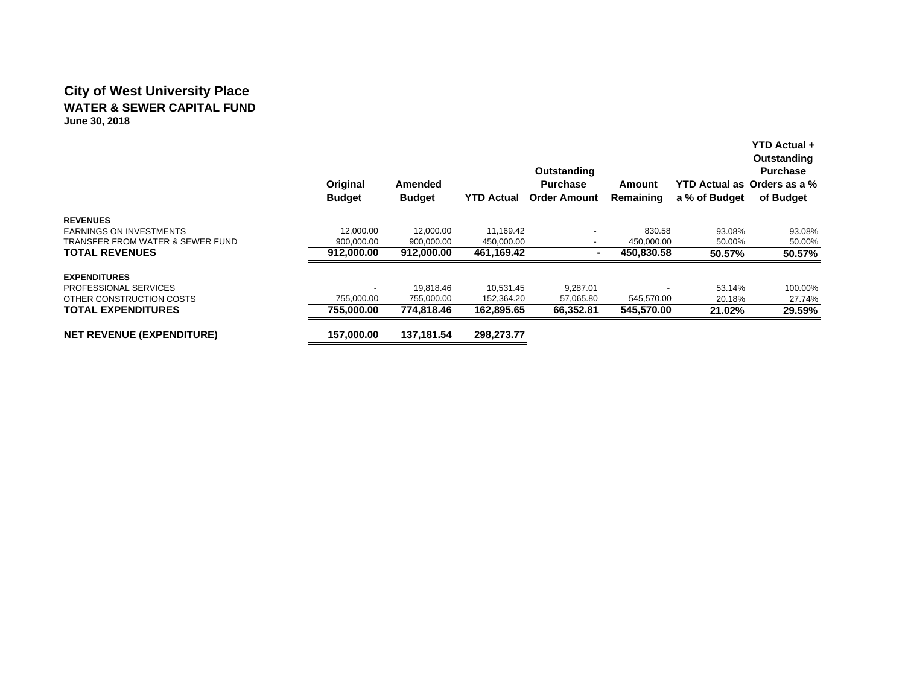### **City of West University Place WATER & SEWER CAPITAL FUNDJune 30, 2018**

|                                             | Original<br><b>Budget</b> | <b>Amended</b><br><b>Budget</b> | <b>YTD Actual</b> | Outstanding<br><b>Purchase</b><br><b>Order Amount</b> | Amount<br>Remaining | YTD Actual as Orders as a %<br>a % of Budget | <b>YTD Actual +</b><br>Outstanding<br><b>Purchase</b><br>of Budget |
|---------------------------------------------|---------------------------|---------------------------------|-------------------|-------------------------------------------------------|---------------------|----------------------------------------------|--------------------------------------------------------------------|
| <b>REVENUES</b>                             |                           |                                 |                   |                                                       |                     |                                              |                                                                    |
| <b>EARNINGS ON INVESTMENTS</b>              | 12,000.00                 | 12.000.00                       | 11,169.42         |                                                       | 830.58              | 93.08%                                       | 93.08%                                                             |
| <b>TRANSFER FROM WATER &amp; SEWER FUND</b> | 900,000.00                | 900,000.00                      | 450,000.00        | -                                                     | 450,000.00          | 50.00%                                       | 50.00%                                                             |
| <b>TOTAL REVENUES</b>                       | 912.000.00                | 912,000.00                      | 461,169.42        |                                                       | 450,830.58          | 50.57%                                       | 50.57%                                                             |
| <b>EXPENDITURES</b>                         |                           |                                 |                   |                                                       |                     |                                              |                                                                    |
| PROFESSIONAL SERVICES                       |                           | 19.818.46                       | 10.531.45         | 9,287.01                                              |                     | 53.14%                                       | 100.00%                                                            |
| OTHER CONSTRUCTION COSTS                    | 755,000.00                | 755,000.00                      | 152,364.20        | 57,065.80                                             | 545,570.00          | 20.18%                                       | 27.74%                                                             |
| <b>TOTAL EXPENDITURES</b>                   | 755.000.00                | 774.818.46                      | 162,895.65        | 66,352.81                                             | 545,570.00          | 21.02%                                       | 29.59%                                                             |
| <b>NET REVENUE (EXPENDITURE)</b>            | 157,000.00                | 137.181.54                      | 298.273.77        |                                                       |                     |                                              |                                                                    |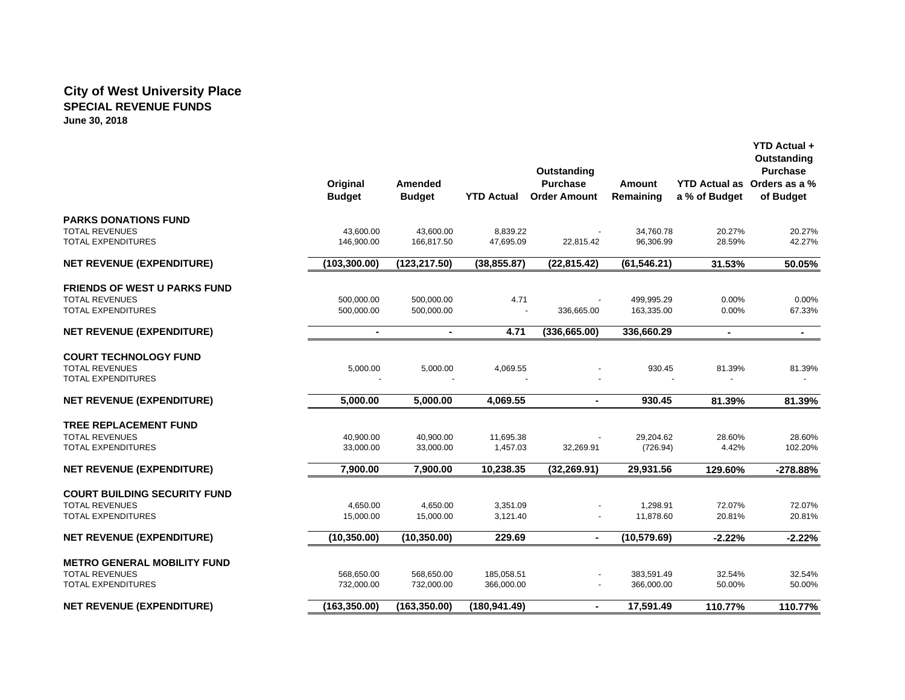#### **City of West University Place SPECIAL REVENUE FUNDS June 30, 2018**

|                                                                                           | Original<br><b>Budget</b> | Amended<br><b>Budget</b> | <b>YTD Actual</b>        | Outstanding<br><b>Purchase</b><br><b>Order Amount</b> | <b>Amount</b><br>Remaining | a % of Budget    | <b>YTD Actual +</b><br>Outstanding<br><b>Purchase</b><br>YTD Actual as Orders as a %<br>of Budget |
|-------------------------------------------------------------------------------------------|---------------------------|--------------------------|--------------------------|-------------------------------------------------------|----------------------------|------------------|---------------------------------------------------------------------------------------------------|
| <b>PARKS DONATIONS FUND</b>                                                               |                           |                          |                          |                                                       |                            |                  |                                                                                                   |
| <b>TOTAL REVENUES</b><br><b>TOTAL EXPENDITURES</b>                                        | 43,600.00<br>146,900.00   | 43,600.00<br>166,817.50  | 8,839.22<br>47,695.09    | 22,815.42                                             | 34,760.78<br>96,306.99     | 20.27%<br>28.59% | 20.27%<br>42.27%                                                                                  |
| <b>NET REVENUE (EXPENDITURE)</b>                                                          | (103, 300.00)             | (123, 217.50)            | (38, 855.87)             | (22, 815.42)                                          | (61, 546.21)               | 31.53%           | 50.05%                                                                                            |
| <b>FRIENDS OF WEST U PARKS FUND</b><br><b>TOTAL REVENUES</b><br><b>TOTAL EXPENDITURES</b> | 500,000.00<br>500,000.00  | 500,000.00<br>500,000.00 | 4.71                     | 336,665.00                                            | 499,995.29<br>163,335.00   | 0.00%<br>0.00%   | 0.00%<br>67.33%                                                                                   |
| <b>NET REVENUE (EXPENDITURE)</b>                                                          | $\blacksquare$            | $\blacksquare$           | 4.71                     | (336, 665.00)                                         | 336,660.29                 | $\blacksquare$   | $\blacksquare$                                                                                    |
| <b>COURT TECHNOLOGY FUND</b><br><b>TOTAL REVENUES</b><br><b>TOTAL EXPENDITURES</b>        | 5,000.00                  | 5,000.00                 | 4,069.55                 |                                                       | 930.45                     | 81.39%           | 81.39%                                                                                            |
| <b>NET REVENUE (EXPENDITURE)</b>                                                          | 5,000.00                  | 5,000.00                 | 4,069.55                 | $\blacksquare$                                        | 930.45                     | 81.39%           | 81.39%                                                                                            |
| <b>TREE REPLACEMENT FUND</b><br><b>TOTAL REVENUES</b><br><b>TOTAL EXPENDITURES</b>        | 40,900.00<br>33,000.00    | 40,900.00<br>33,000.00   | 11,695.38<br>1,457.03    | 32,269.91                                             | 29,204.62<br>(726.94)      | 28.60%<br>4.42%  | 28.60%<br>102.20%                                                                                 |
| <b>NET REVENUE (EXPENDITURE)</b>                                                          | 7.900.00                  | 7.900.00                 | 10.238.35                | (32, 269.91)                                          | 29.931.56                  | 129.60%          | $-278.88%$                                                                                        |
| <b>COURT BUILDING SECURITY FUND</b><br><b>TOTAL REVENUES</b><br><b>TOTAL EXPENDITURES</b> | 4,650.00<br>15,000.00     | 4,650.00<br>15,000.00    | 3,351.09<br>3,121.40     |                                                       | 1,298.91<br>11,878.60      | 72.07%<br>20.81% | 72.07%<br>20.81%                                                                                  |
| <b>NET REVENUE (EXPENDITURE)</b>                                                          | (10, 350.00)              | (10, 350.00)             | 229.69                   | $\blacksquare$                                        | (10,579.69)                | $-2.22%$         | $-2.22%$                                                                                          |
| <b>METRO GENERAL MOBILITY FUND</b><br><b>TOTAL REVENUES</b><br><b>TOTAL EXPENDITURES</b>  | 568,650.00<br>732,000.00  | 568,650.00<br>732,000.00 | 185,058.51<br>366,000.00 | $\sim$                                                | 383,591.49<br>366,000.00   | 32.54%<br>50.00% | 32.54%<br>50.00%                                                                                  |
| <b>NET REVENUE (EXPENDITURE)</b>                                                          | (163, 350.00)             | (163, 350.00)            | (180, 941.49)            |                                                       | 17,591.49                  | 110.77%          | 110.77%                                                                                           |